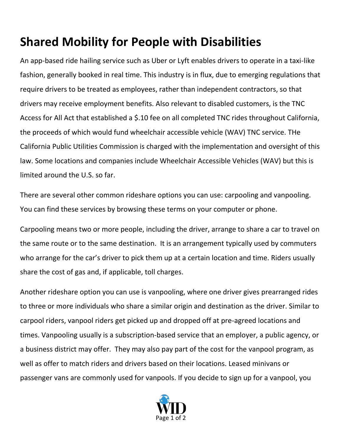## **Shared Mobility for People with Disabilities**

An app-based ride hailing service such as Uber or Lyft enables drivers to operate in a taxi-like fashion, generally booked in real time. This industry is in flux, due to emerging regulations that require drivers to be treated as employees, rather than independent contractors, so that drivers may receive employment benefits. Also relevant to disabled customers, is the TNC Access for All Act that established a \$.10 fee on all completed TNC rides throughout California, the proceeds of which would fund wheelchair accessible vehicle (WAV) TNC service. THe California Public Utilities Commission is charged with the implementation and oversight of this law. Some locations and companies include Wheelchair Accessible Vehicles (WAV) but this is limited around the U.S. so far.

There are several other common rideshare options you can use: carpooling and vanpooling. You can find these services by browsing these terms on your computer or phone.

Carpooling means two or more people, including the driver, arrange to share a car to travel on the same route or to the same destination. It is an arrangement typically used by commuters who arrange for the car's driver to pick them up at a certain location and time. Riders usually share the cost of gas and, if applicable, toll charges.

Another rideshare option you can use is vanpooling, where one driver gives prearranged rides to three or more individuals who share a similar origin and destination as the driver. Similar to carpool riders, vanpool riders get picked up and dropped off at pre-agreed locations and times. Vanpooling usually is a subscription-based service that an employer, a public agency, or a business district may offer. They may also pay part of the cost for the vanpool program, as well as offer to match riders and drivers based on their locations. Leased minivans or passenger vans are commonly used for vanpools. If you decide to sign up for a vanpool, you